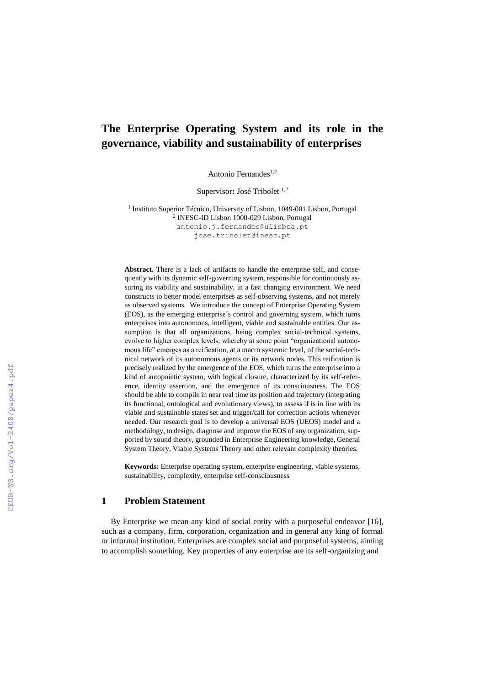# **The Enterprise Operating System and its role in the governance, viability and sustainability of enterprises**

Antonio Fernandes<sup>1,2</sup>

Supervisor: José Tribolet<sup>1,2</sup>

<sup>1</sup> Instituto Superior Técnico, University of Lisbon, 1049-001 Lisbon, Portugal 2 INESC-ID Lisbon 1000-029 Lisbon, Portugal [antonio.j.fernandes@ulisboa.](mailto:antonio.j.fernandes@ulisboa)pt jose.tribolet@inesc.pt

**Abstract.** There is a lack of artifacts to handle the enterprise self, and consequently with its dynamic self-governing system, responsible for continuously assuring its viability and sustainability, in a fast changing environment. We need constructs to better model enterprises as self-observing systems, and not merely as observed systems. We introduce the concept of Enterprise Operating System (EOS), as the emerging enterprise´s control and governing system, which turns enterprises into autonomous, intelligent, viable and sustainable entities. Our assumption is that all organizations, being complex social-technical systems, evolve to higher complex levels, whereby at some point "organizational autonomous life" emerges as a reification, at a macro systemic level, of the social-technical network of its autonomous agents or its network nodes. This reification is precisely realized by the emergence of the EOS, which turns the enterprise into a kind of autopoietic system, with logical closure, characterized by its self-reference, identity assertion, and the emergence of its consciousness. The EOS should be able to compile in near real time its position and trajectory (integrating its functional, ontological and evolutionary views), to assess if is in line with its viable and sustainable states set and trigger/call for correction actions whenever needed. Our research goal is to develop a universal EOS (UEOS) model and a methodology, to design, diagnose and improve the EOS of any organization, supported by sound theory, grounded in Enterprise Engineering knowledge, General System Theory, Viable Systems Theory and other relevant complexity theories.

**Keywords:** Enterprise operating system, enterprise engineering, viable systems, sustainability, complexity, enterprise self-consciousness

### **1 Problem Statement**

By Enterprise we mean any kind of social entity with a purposeful endeavor [16], such as a company, firm, corporation, organization and in general any king of formal or informal institution. Enterprises are complex social and purposeful systems, aiming to accomplish something. Key properties of any enterprise are its self-organizing and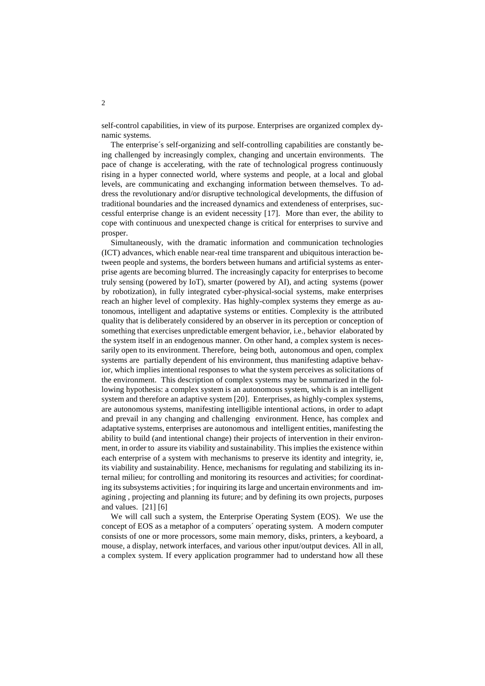self-control capabilities, in view of its purpose. Enterprises are organized complex dynamic systems.

The enterprise´s self-organizing and self-controlling capabilities are constantly being challenged by increasingly complex, changing and uncertain environments. The pace of change is accelerating, with the rate of technological progress continuously rising in a hyper connected world, where systems and people, at a local and global levels, are communicating and exchanging information between themselves. To address the revolutionary and/or disruptive technological developments, the diffusion of traditional boundaries and the increased dynamics and extendeness of enterprises, successful enterprise change is an evident necessity [17]. More than ever, the ability to cope with continuous and unexpected change is critical for enterprises to survive and prosper.

Simultaneously, with the dramatic information and communication technologies (ICT) advances, which enable near-real time transparent and ubiquitous interaction between people and systems, the borders between humans and artificial systems as enterprise agents are becoming blurred. The increasingly capacity for enterprises to become truly sensing (powered by IoT), smarter (powered by AI), and acting systems (power by robotization), in fully integrated cyber-physical-social systems, make enterprises reach an higher level of complexity. Has highly-complex systems they emerge as autonomous, intelligent and adaptative systems or entities. Complexity is the attributed quality that is deliberately considered by an observer in its perception or conception of something that exercises unpredictable emergent behavior, i.e., behavior elaborated by the system itself in an endogenous manner. On other hand, a complex system is necessarily open to its environment. Therefore, being both, autonomous and open, complex systems are partially dependent of his environment, thus manifesting adaptive behavior, which implies intentional responses to what the system perceives as solicitations of the environment. This description of complex systems may be summarized in the following hypothesis: a complex system is an autonomous system, which is an intelligent system and therefore an adaptive system [20]. Enterprises, as highly-complex systems, are autonomous systems, manifesting intelligible intentional actions, in order to adapt and prevail in any changing and challenging environment. Hence, has complex and adaptative systems, enterprises are autonomous and intelligent entities, manifesting the ability to build (and intentional change) their projects of intervention in their environment, in order to assure its viability and sustainability. This implies the existence within each enterprise of a system with mechanisms to preserve its identity and integrity, ie, its viability and sustainability. Hence, mechanisms for regulating and stabilizing its internal milieu; for controlling and monitoring its resources and activities; for coordinating its subsystems activities; for inquiring its large and uncertain environments and imagining , projecting and planning its future; and by defining its own projects, purposes and values. [21] [6]

We will call such a system, the Enterprise Operating System (EOS). We use the concept of EOS as a metaphor of a computers´ operating system. A modern computer consists of one or more processors, some main memory, disks, printers, a keyboard, a mouse, a display, network interfaces, and various other input/output devices. All in all, a complex system. If every application programmer had to understand how all these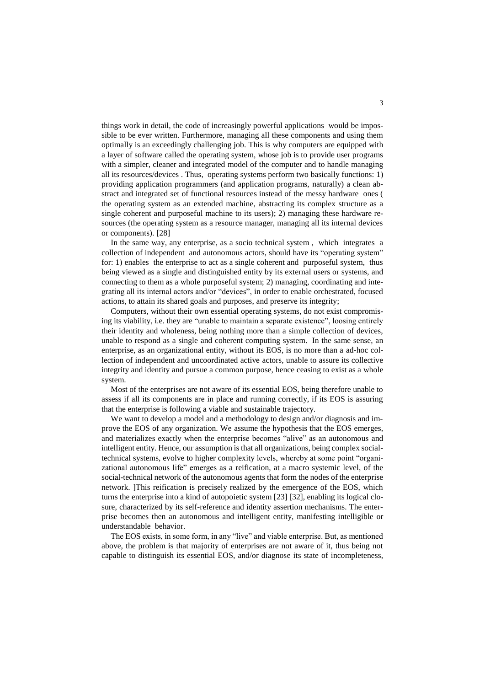things work in detail, the code of increasingly powerful applications would be impossible to be ever written. Furthermore, managing all these components and using them optimally is an exceedingly challenging job. This is why computers are equipped with a layer of software called the operating system, whose job is to provide user programs with a simpler, cleaner and integrated model of the computer and to handle managing all its resources/devices . Thus, operating systems perform two basically functions: 1) providing application programmers (and application programs, naturally) a clean abstract and integrated set of functional resources instead of the messy hardware ones ( the operating system as an extended machine, abstracting its complex structure as a single coherent and purposeful machine to its users); 2) managing these hardware resources (the operating system as a resource manager, managing all its internal devices or components). [28]

In the same way, any enterprise, as a socio technical system , which integrates a collection of independent and autonomous actors, should have its "operating system" for: 1) enables the enterprise to act as a single coherent and purposeful system, thus being viewed as a single and distinguished entity by its external users or systems, and connecting to them as a whole purposeful system; 2) managing, coordinating and integrating all its internal actors and/or "devices", in order to enable orchestrated, focused actions, to attain its shared goals and purposes, and preserve its integrity;

Computers, without their own essential operating systems, do not exist compromising its viability, i.e. they are "unable to maintain a separate existence", loosing entirely their identity and wholeness, being nothing more than a simple collection of devices, unable to respond as a single and coherent computing system. In the same sense, an enterprise, as an organizational entity, without its EOS, is no more than a ad-hoc collection of independent and uncoordinated active actors, unable to assure its collective integrity and identity and pursue a common purpose, hence ceasing to exist as a whole system.

Most of the enterprises are not aware of its essential EOS, being therefore unable to assess if all its components are in place and running correctly, if its EOS is assuring that the enterprise is following a viable and sustainable trajectory.

We want to develop a model and a methodology to design and/or diagnosis and improve the EOS of any organization. We assume the hypothesis that the EOS emerges, and materializes exactly when the enterprise becomes "alive" as an autonomous and intelligent entity. Hence, our assumption is that all organizations, being complex socialtechnical systems, evolve to higher complexity levels, whereby at some point "organizational autonomous life" emerges as a reification, at a macro systemic level, of the social-technical network of the autonomous agents that form the nodes of the enterprise network. ]This reification is precisely realized by the emergence of the EOS, which turns the enterprise into a kind of autopoietic system [23] [32], enabling its logical closure, characterized by its self-reference and identity assertion mechanisms. The enterprise becomes then an autonomous and intelligent entity, manifesting intelligible or understandable behavior.

The EOS exists, in some form, in any "live" and viable enterprise. But, as mentioned above, the problem is that majority of enterprises are not aware of it, thus being not capable to distinguish its essential EOS, and/or diagnose its state of incompleteness,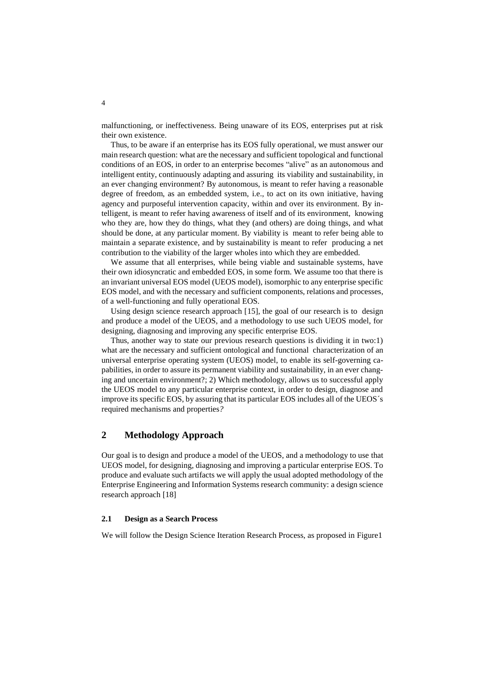malfunctioning, or ineffectiveness. Being unaware of its EOS, enterprises put at risk their own existence.

Thus, to be aware if an enterprise has its EOS fully operational, we must answer our main research question: what are the necessary and sufficient topological and functional conditions of an EOS, in order to an enterprise becomes "alive" as an autonomous and intelligent entity, continuously adapting and assuring its viability and sustainability, in an ever changing environment? By autonomous, is meant to refer having a reasonable degree of freedom, as an embedded system, i.e., to act on its own initiative, having agency and purposeful intervention capacity, within and over its environment. By intelligent, is meant to refer having awareness of itself and of its environment, knowing who they are, how they do things, what they (and others) are doing things, and what should be done, at any particular moment. By viability is meant to refer being able to maintain a separate existence, and by sustainability is meant to refer producing a net contribution to the viability of the larger wholes into which they are embedded.

We assume that all enterprises, while being viable and sustainable systems, have their own idiosyncratic and embedded EOS, in some form. We assume too that there is an invariant universal EOS model (UEOS model), isomorphic to any enterprise specific EOS model, and with the necessary and sufficient components, relations and processes, of a well-functioning and fully operational EOS.

Using design science research approach [15], the goal of our research is to design and produce a model of the UEOS, and a methodology to use such UEOS model, for designing, diagnosing and improving any specific enterprise EOS.

Thus, another way to state our previous research questions is dividing it in two:1) what are the necessary and sufficient ontological and functional characterization of an universal enterprise operating system (UEOS) model, to enable its self-governing capabilities, in order to assure its permanent viability and sustainability, in an ever changing and uncertain environment?; 2) Which methodology, allows us to successful apply the UEOS model to any particular enterprise context, in order to design, diagnose and improve its specific EOS, by assuring that its particular EOS includes all of the UEOS´s required mechanisms and properties*?*

# **2 Methodology Approach**

Our goal is to design and produce a model of the UEOS, and a methodology to use that UEOS model, for designing, diagnosing and improving a particular enterprise EOS. To produce and evaluate such artifacts we will apply the usual adopted methodology of the Enterprise Engineering and Information Systems research community: a design science research approach [18]

#### **2.1 Design as a Search Process**

We will follow the Design Science Iteration Research Process, as proposed in Figure1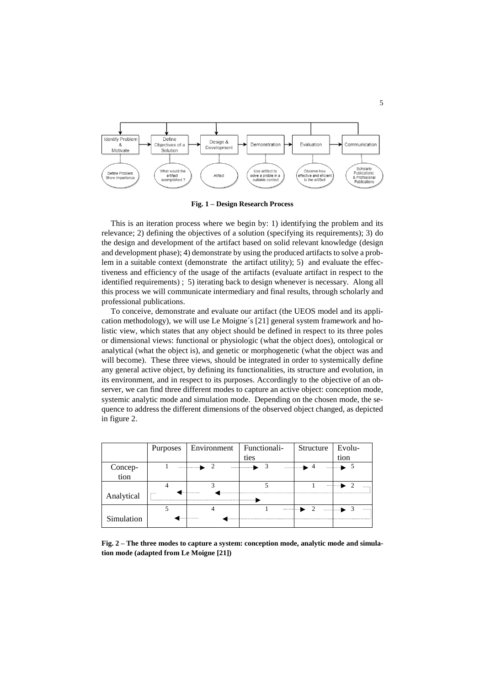

**Fig. 1 – Design Research Process**

This is an iteration process where we begin by: 1) identifying the problem and its relevance; 2) defining the objectives of a solution (specifying its requirements); 3) do the design and development of the artifact based on solid relevant knowledge (design and development phase); 4) demonstrate by using the produced artifacts to solve a problem in a suitable context (demonstrate the artifact utility); 5) and evaluate the effectiveness and efficiency of the usage of the artifacts (evaluate artifact in respect to the identified requirements) ; 5) iterating back to design whenever is necessary. Along all this process we will communicate intermediary and final results, through scholarly and professional publications.

To conceive, demonstrate and evaluate our artifact (the UEOS model and its application methodology), we will use Le Moigne´s [21] general system framework and holistic view, which states that any object should be defined in respect to its three poles or dimensional views: functional or physiologic (what the object does), ontological or analytical (what the object is), and genetic or morphogenetic (what the object was and will become). These three views, should be integrated in order to systemically define any general active object, by defining its functionalities, its structure and evolution, in its environment, and in respect to its purposes. Accordingly to the objective of an observer, we can find three different modes to capture an active object: conception mode, systemic analytic mode and simulation mode. Depending on the chosen mode, the sequence to address the different dimensions of the observed object changed, as depicted in figure 2.

|            | <b>Purposes</b> | Environment | Functionali-       | Structure | Evolu-      |
|------------|-----------------|-------------|--------------------|-----------|-------------|
|            |                 |             | ties               |           | tion        |
| Concep-    |                 |             | ومطاعدته والمستحدث |           | ----------- |
| tion       |                 |             |                    |           |             |
|            |                 |             |                    |           |             |
| Analytical |                 |             |                    |           |             |
|            |                 |             |                    |           | .           |
| Simulation |                 |             |                    |           |             |

**Fig. 2 – The three modes to capture a system: conception mode, analytic mode and simulation mode (adapted from Le Moigne [21])**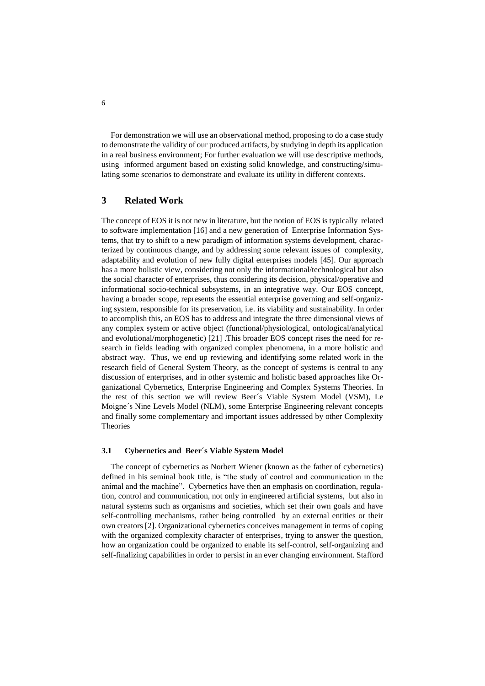For demonstration we will use an observational method, proposing to do a case study to demonstrate the validity of our produced artifacts, by studying in depth its application in a real business environment; For further evaluation we will use descriptive methods, using informed argument based on existing solid knowledge, and constructing/simulating some scenarios to demonstrate and evaluate its utility in different contexts.

# **3 Related Work**

The concept of EOS it is not new in literature, but the notion of EOS is typically related to software implementation [16] and a new generation of Enterprise Information Systems, that try to shift to a new paradigm of information systems development, characterized by continuous change, and by addressing some relevant issues of complexity, adaptability and evolution of new fully digital enterprises models [45]. Our approach has a more holistic view, considering not only the informational/technological but also the social character of enterprises, thus considering its decision, physical/operative and informational socio-technical subsystems, in an integrative way. Our EOS concept, having a broader scope, represents the essential enterprise governing and self-organizing system, responsible for its preservation, i.e. its viability and sustainability. In order to accomplish this, an EOS has to address and integrate the three dimensional views of any complex system or active object (functional/physiological, ontological/analytical and evolutional/morphogenetic) [21] .This broader EOS concept rises the need for research in fields leading with organized complex phenomena, in a more holistic and abstract way. Thus, we end up reviewing and identifying some related work in the research field of General System Theory, as the concept of systems is central to any discussion of enterprises, and in other systemic and holistic based approaches like Organizational Cybernetics, Enterprise Engineering and Complex Systems Theories. In the rest of this section we will review Beer´s Viable System Model (VSM), Le Moigne´s Nine Levels Model (NLM), some Enterprise Engineering relevant concepts and finally some complementary and important issues addressed by other Complexity Theories

#### **3.1 Cybernetics and Beer´s Viable System Model**

The concept of cybernetics as Norbert Wiener (known as the father of cybernetics) defined in his seminal book title, is "the study of control and communication in the animal and the machine". Cybernetics have then an emphasis on coordination, regulation, control and communication, not only in engineered artificial systems, but also in natural systems such as organisms and societies, which set their own goals and have self-controlling mechanisms, rather being controlled by an external entities or their own creators [2]. Organizational cybernetics conceives management in terms of coping with the organized complexity character of enterprises, trying to answer the question, how an organization could be organized to enable its self-control, self-organizing and self-finalizing capabilities in order to persist in an ever changing environment. Stafford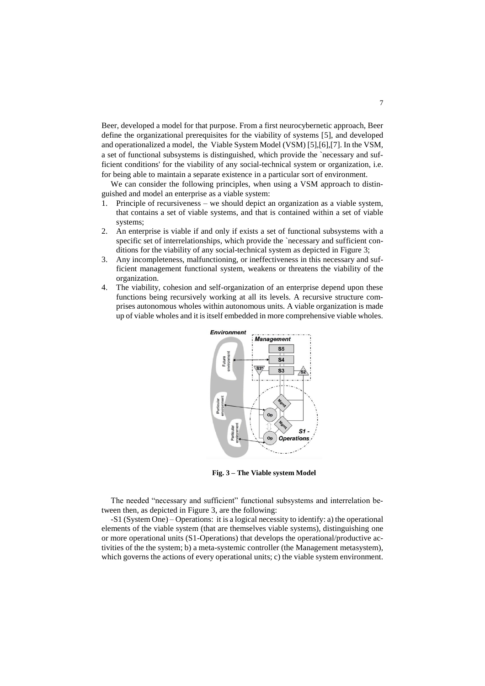Beer, developed a model for that purpose. From a first neurocybernetic approach, Beer define the organizational prerequisites for the viability of systems [5], and developed and operationalized a model, the Viable System Model (VSM) [5],[6],[7]. In the VSM, a set of functional subsystems is distinguished, which provide the `necessary and sufficient conditions' for the viability of any social-technical system or organization, i.e. for being able to maintain a separate existence in a particular sort of environment.

We can consider the following principles, when using a VSM approach to distinguished and model an enterprise as a viable system:

- 1. Principle of recursiveness we should depict an organization as a viable system, that contains a set of viable systems, and that is contained within a set of viable systems;
- 2. An enterprise is viable if and only if exists a set of functional subsystems with a specific set of interrelationships, which provide the `necessary and sufficient conditions for the viability of any social-technical system as depicted in Figure 3;
- 3. Any incompleteness, malfunctioning, or ineffectiveness in this necessary and sufficient management functional system, weakens or threatens the viability of the organization.
- 4. The viability, cohesion and self-organization of an enterprise depend upon these functions being recursively working at all its levels. A recursive structure comprises autonomous wholes within autonomous units. A viable organization is made up of viable wholes and it is itself embedded in more comprehensive viable wholes.



**Fig. 3 – The Viable system Model**

The needed "necessary and sufficient" functional subsystems and interrelation between then, as depicted in Figure 3, are the following:

-S1 (System One) – Operations: it is a logical necessity to identify: a) the operational elements of the viable system (that are themselves viable systems), distinguishing one or more operational units (S1-Operations) that develops the operational/productive activities of the the system; b) a meta-systemic controller (the Management metasystem), which governs the actions of every operational units; c) the viable system environment.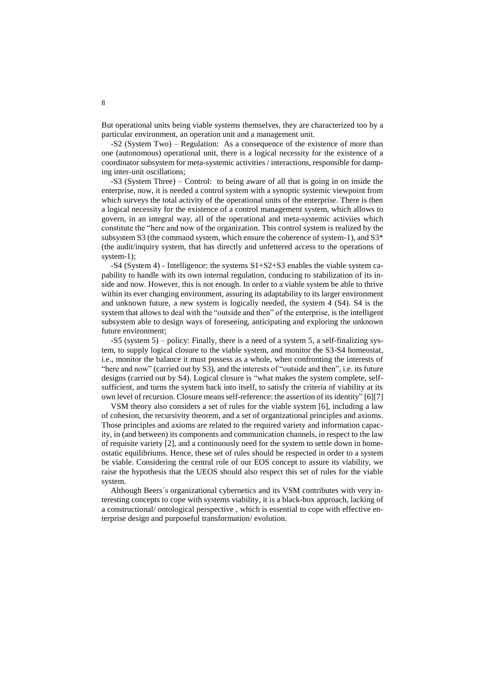But operational units being viable systems themselves, they are characterized too by a particular environment, an operation unit and a management unit.

-S2 (System Two) – Regulation: As a consequence of the existence of more than one (autonomous) operational unit, there is a logical necessity for the existence of a coordinator subsystem for meta-systemic activities / interactions, responsible for damping inter-unit oscillations;

-S3 (System Three) – Control: to being aware of all that is going in on inside the enterprise, now, it is needed a control system with a synoptic systemic viewpoint from which surveys the total activity of the operational units of the enterprise. There is then a logical necessity for the existence of a control management system, which allows to govern, in an integral way, all of the operational and meta-systemic activiies which constitute the "here and now of the organization. This control system is realized by the subsystem S3 (the command system, which ensure the coherence of system-1), and S3\* (the audit/inquiry system, that has directly and unfettered access to the operations of system-1):

-S4 (System 4) - Intelligence: the systems S1+S2+S3 enables the viable system capability to handle with its own internal regulation, conducing to stabilization of its inside and now. However, this is not enough. In order to a viable system be able to thrive within its ever changing environment, assuring its adaptability to its larger environment and unknown future, a new system is logically needed, the system 4 (S4). S4 is the system that allows to deal with the "outside and then" of the enterprise, is the intelligent subsystem able to design ways of foreseeing, anticipating and exploring the unknown future environment;

-S5 (system 5) – policy: Finally, there is a need of a system 5, a self-finalizing system, to supply logical closure to the viable system, and monitor the S3-S4 homeostat, i.e., monitor the balance it must possess as a whole, when confronting the interests of "here and now" (carried out by S3), and the interests of "outside and then", i.e. its future designs (carried out by S4). Logical closure is "what makes the system complete, selfsufficient, and turns the system back into itself, to satisfy the criteria of viability at its own level of recursion. Closure means self-reference: the assertion of its identity" [6][7]

VSM theory also considers a set of rules for the viable system [6], including a law of cohesion, the recursivity theorem, and a set of organizational principles and axioms. Those principles and axioms are related to the required variety and information capacity, in (and between) its components and communication channels, in respect to the law of requisite variety [2], and a continuously need for the system to settle down in homeostatic equilibriums. Hence, these set of rules should be respected in order to a system be viable. Considering the central role of our EOS concept to assure its viability, we raise the hypothesis that the UEOS should also respect this set of rules for the viable system.

Although Beers´s organizational cybernetics and its VSM contributes with very interesting concepts to cope with systems viability, it is a black-box approach, lacking of a constructional/ ontological perspective , which is essential to cope with effective enterprise design and purposeful transformation/ evolution.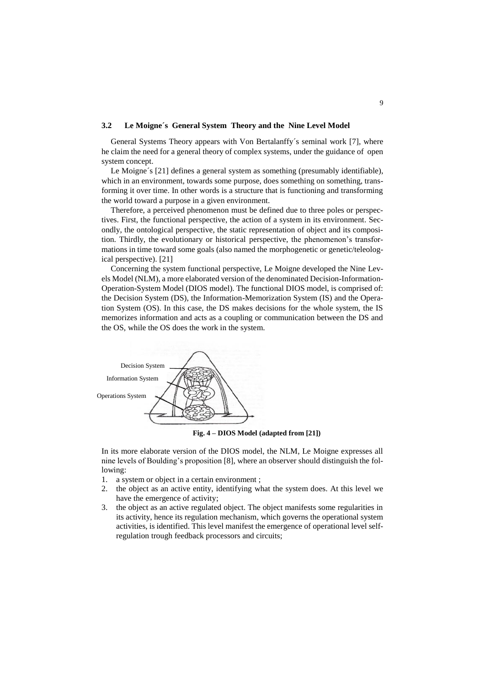#### **3.2 Le Moigne´s General System Theory and the Nine Level Model**

General Systems Theory appears with Von Bertalanffy´s seminal work [7], where he claim the need for a general theory of complex systems, under the guidance of open system concept.

Le Moigne's [21] defines a general system as something (presumably identifiable), which in an environment, towards some purpose, does something on something, transforming it over time. In other words is a structure that is functioning and transforming the world toward a purpose in a given environment.

Therefore, a perceived phenomenon must be defined due to three poles or perspectives. First, the functional perspective, the action of a system in its environment. Secondly, the ontological perspective, the static representation of object and its composition. Thirdly, the evolutionary or historical perspective, the phenomenon's transformations in time toward some goals (also named the morphogenetic or genetic/teleological perspective). [21]

Concerning the system functional perspective, Le Moigne developed the Nine Levels Model (NLM), a more elaborated version of the denominated Decision-Information-Operation-System Model (DIOS model). The functional DIOS model, is comprised of: the Decision System (DS), the Information-Memorization System (IS) and the Operation System (OS). In this case, the DS makes decisions for the whole system, the IS memorizes information and acts as a coupling or communication between the DS and the OS, while the OS does the work in the system.



**Fig. 4 – DIOS Model (adapted from [21])**

In its more elaborate version of the DIOS model, the NLM, Le Moigne expresses all nine levels of Boulding's proposition [8], where an observer should distinguish the following:

- 1. a system or object in a certain environment ;
- 2. the object as an active entity, identifying what the system does. At this level we have the emergence of activity;
- 3. the object as an active regulated object. The object manifests some regularities in its activity, hence its regulation mechanism, which governs the operational system activities, is identified. This level manifest the emergence of operational level selfregulation trough feedback processors and circuits;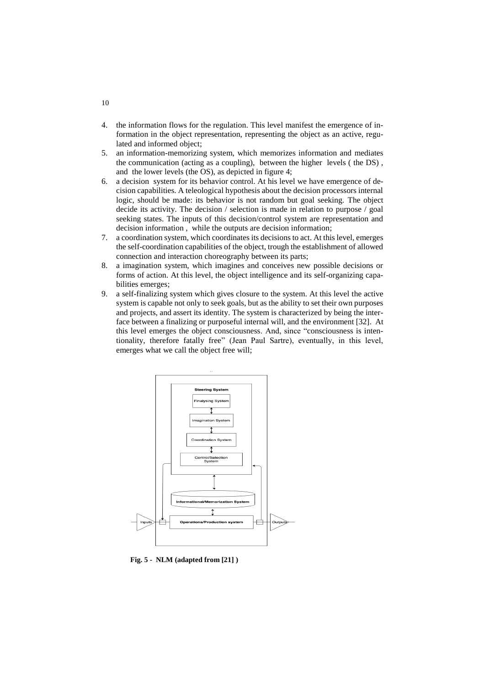- 4. the information flows for the regulation. This level manifest the emergence of information in the object representation, representing the object as an active, regulated and informed object;
- 5. an information-memorizing system, which memorizes information and mediates the communication (acting as a coupling), between the higher levels ( the DS) , and the lower levels (the OS), as depicted in figure 4;
- 6. a decision system for its behavior control. At his level we have emergence of decision capabilities. A teleological hypothesis about the decision processors internal logic, should be made: its behavior is not random but goal seeking. The object decide its activity. The decision / selection is made in relation to purpose / goal seeking states. The inputs of this decision/control system are representation and decision information , while the outputs are decision information;
- 7. a coordination system, which coordinates its decisions to act. At this level, emerges the self-coordination capabilities of the object, trough the establishment of allowed connection and interaction choreography between its parts;
- 8. a imagination system, which imagines and conceives new possible decisions or forms of action. At this level, the object intelligence and its self-organizing capabilities emerges;
- 9. a self-finalizing system which gives closure to the system. At this level the active system is capable not only to seek goals, but as the ability to set their own purposes and projects, and assert its identity. The system is characterized by being the interface between a finalizing or purposeful internal will, and the environment [32]. At this level emerges the object consciousness. And, since "consciousness is intentionality, therefore fatally free" (Jean Paul Sartre), eventually, in this level, emerges what we call the object free will;



**Fig. 5 - NLM (adapted from [21] )**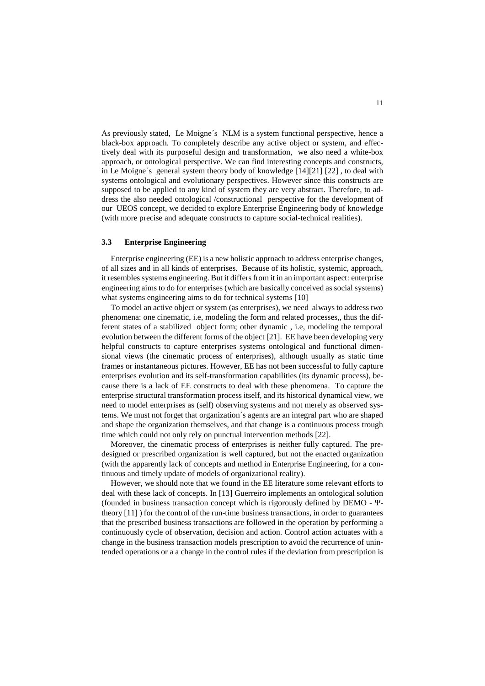As previously stated, Le Moigne´s NLM is a system functional perspective, hence a black-box approach. To completely describe any active object or system, and effectively deal with its purposeful design and transformation, we also need a white-box approach, or ontological perspective. We can find interesting concepts and constructs, in Le Moigne´s general system theory body of knowledge [14][21] [22] , to deal with systems ontological and evolutionary perspectives. However since this constructs are supposed to be applied to any kind of system they are very abstract. Therefore, to address the also needed ontological /constructional perspective for the development of our UEOS concept, we decided to explore Enterprise Engineering body of knowledge (with more precise and adequate constructs to capture social-technical realities).

#### **3.3 Enterprise Engineering**

Enterprise engineering (EE) is a new holistic approach to address enterprise changes, of all sizes and in all kinds of enterprises. Because of its holistic, systemic, approach, it resembles systems engineering. But it differs from it in an important aspect: enterprise engineering aims to do for enterprises (which are basically conceived as social systems) what systems engineering aims to do for technical systems [10]

To model an active object or system (as enterprises), we need always to address two phenomena: one cinematic, i.e, modeling the form and related processes,, thus the different states of a stabilized object form; other dynamic , i.e, modeling the temporal evolution between the different forms of the object [21]. EE have been developing very helpful constructs to capture enterprises systems ontological and functional dimensional views (the cinematic process of enterprises), although usually as static time frames or instantaneous pictures. However, EE has not been successful to fully capture enterprises evolution and its self-transformation capabilities (its dynamic process), because there is a lack of EE constructs to deal with these phenomena. To capture the enterprise structural transformation process itself, and its historical dynamical view, we need to model enterprises as (self) observing systems and not merely as observed systems. We must not forget that organization´s agents are an integral part who are shaped and shape the organization themselves, and that change is a continuous process trough time which could not only rely on punctual intervention methods [22].

Moreover, the cinematic process of enterprises is neither fully captured. The predesigned or prescribed organization is well captured, but not the enacted organization (with the apparently lack of concepts and method in Enterprise Engineering, for a continuous and timely update of models of organizational reality).

However, we should note that we found in the EE literature some relevant efforts to deal with these lack of concepts. In [13] Guerreiro implements an ontological solution (founded in business transaction concept which is rigorously defined by DEMO - Ψtheory [11] ) for the control of the run-time business transactions, in order to guarantees that the prescribed business transactions are followed in the operation by performing a continuously cycle of observation, decision and action. Control action actuates with a change in the business transaction models prescription to avoid the recurrence of unintended operations or a a change in the control rules if the deviation from prescription is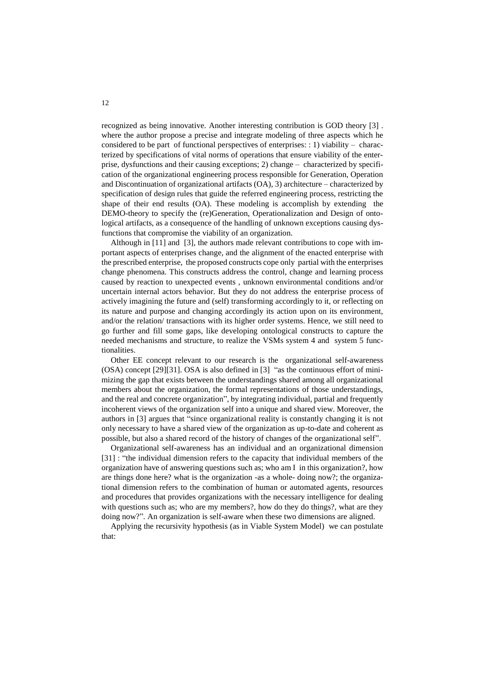recognized as being innovative. Another interesting contribution is GOD theory [3] . where the author propose a precise and integrate modeling of three aspects which he considered to be part of functional perspectives of enterprises: : 1) viability – characterized by specifications of vital norms of operations that ensure viability of the enterprise, dysfunctions and their causing exceptions; 2) change – characterized by specification of the organizational engineering process responsible for Generation, Operation and Discontinuation of organizational artifacts (OA), 3) architecture – characterized by specification of design rules that guide the referred engineering process, restricting the shape of their end results (OA). These modeling is accomplish by extending the DEMO-theory to specify the (re)Generation, Operationalization and Design of ontological artifacts, as a consequence of the handling of unknown exceptions causing dysfunctions that compromise the viability of an organization.

Although in [11] and [3], the authors made relevant contributions to cope with important aspects of enterprises change, and the alignment of the enacted enterprise with the prescribed enterprise, the proposed constructs cope only partial with the enterprises change phenomena. This constructs address the control, change and learning process caused by reaction to unexpected events , unknown environmental conditions and/or uncertain internal actors behavior. But they do not address the enterprise process of actively imagining the future and (self) transforming accordingly to it, or reflecting on its nature and purpose and changing accordingly its action upon on its environment, and/or the relation/ transactions with its higher order systems. Hence, we still need to go further and fill some gaps, like developing ontological constructs to capture the needed mechanisms and structure, to realize the VSMs system 4 and system 5 functionalities.

Other EE concept relevant to our research is the organizational self-awareness (OSA) concept [29][31]. OSA is also defined in [3] "as the continuous effort of minimizing the gap that exists between the understandings shared among all organizational members about the organization, the formal representations of those understandings, and the real and concrete organization", by integrating individual, partial and frequently incoherent views of the organization self into a unique and shared view. Moreover, the authors in [3] argues that "since organizational reality is constantly changing it is not only necessary to have a shared view of the organization as up-to-date and coherent as possible, but also a shared record of the history of changes of the organizational self".

Organizational self-awareness has an individual and an organizational dimension [31] : "the individual dimension refers to the capacity that individual members of the organization have of answering questions such as; who am I in this organization?, how are things done here? what is the organization -as a whole- doing now?; the organizational dimension refers to the combination of human or automated agents, resources and procedures that provides organizations with the necessary intelligence for dealing with questions such as; who are my members?, how do they do things?, what are they doing now?". An organization is self-aware when these two dimensions are aligned.

Applying the recursivity hypothesis (as in Viable System Model) we can postulate that: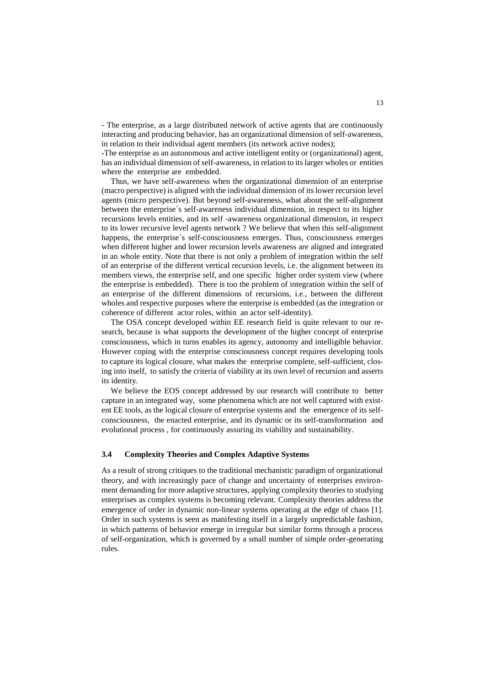- The enterprise, as a large distributed network of active agents that are continuously interacting and producing behavior, has an organizational dimension of self-awareness, in relation to their individual agent members (its network active nodes);

-The enterprise as an autonomous and active intelligent entity or (organizational) agent, has an individual dimension of self-awareness, in relation to its larger wholes or entities where the enterprise are embedded.

Thus, we have self-awareness when the organizational dimension of an enterprise (macro perspective) is aligned with the individual dimension of its lower recursion level agents (micro perspective). But beyond self-awareness, what about the self-alignment between the enterprise´s self-awareness individual dimension, in respect to its higher recursions levels entities, and its self -awareness organizational dimension, in respect to its lower recursive level agents network ? We believe that when this self-alignment happens, the enterprise´s self-consciousness emerges. Thus, consciousness emerges when different higher and lower recursion levels awareness are aligned and integrated in an whole entity. Note that there is not only a problem of integration within the self of an enterprise of the different vertical recursion levels, i.e. the alignment between its members views, the enterprise self, and one specific higher order system view (where the enterprise is embedded). There is too the problem of integration within the self of an enterprise of the different dimensions of recursions, i.e., between the different wholes and respective purposes where the enterprise is embedded (as the integration or coherence of different actor roles, within an actor self-identity).

The OSA concept developed within EE research field is quite relevant to our research, because is what supports the development of the higher concept of enterprise consciousness, which in turns enables its agency, autonomy and intelligible behavior. However coping with the enterprise consciousness concept requires developing tools to capture its logical closure, what makes the enterprise complete, self-sufficient, closing into itself, to satisfy the criteria of viability at its own level of recursion and asserts its identity.

We believe the EOS concept addressed by our research will contribute to better capture in an integrated way, some phenomena which are not well captured with existent EE tools, as the logical closure of enterprise systems and the emergence of its selfconsciousness, the enacted enterprise, and its dynamic or its self-transformation and evolutional process , for continuously assuring its viability and sustainability.

#### **3.4 Complexity Theories and Complex Adaptive Systems**

As a result of strong critiques to the traditional mechanistic paradigm of organizational theory, and with increasingly pace of change and uncertainty of enterprises environment demanding for more adaptive structures, applying complexity theories to studying enterprises as complex systems is becoming relevant. Complexity theories address the emergence of order in dynamic non-linear systems operating at the edge of chaos [1]. Order in such systems is seen as manifesting itself in a largely unpredictable fashion, in which patterns of behavior emerge in irregular but similar forms through a process of self-organization, which is governed by a small number of simple order-generating rules.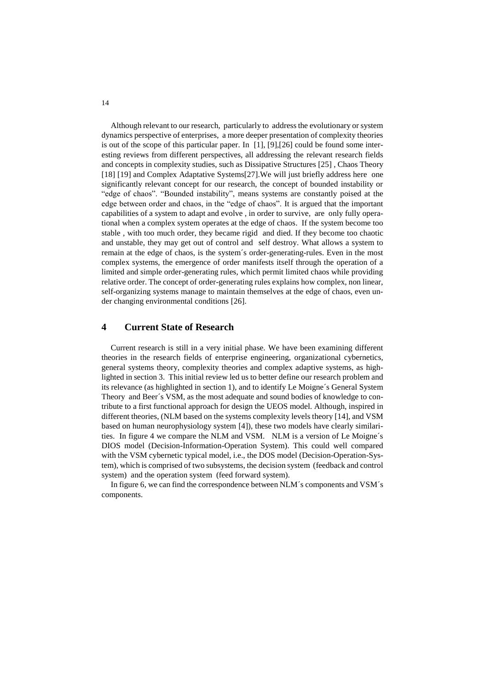Although relevant to our research, particularly to address the evolutionary or system dynamics perspective of enterprises, a more deeper presentation of complexity theories is out of the scope of this particular paper. In [1], [9],[26] could be found some interesting reviews from different perspectives, all addressing the relevant research fields and concepts in complexity studies, such as Dissipative Structures [25] , Chaos Theory [18] [19] and Complex Adaptative Systems[27]. We will just briefly address here one significantly relevant concept for our research, the concept of bounded instability or "edge of chaos". "Bounded instability", means systems are constantly poised at the edge between order and chaos, in the "edge of chaos". It is argued that the important capabilities of a system to adapt and evolve , in order to survive, are only fully operational when a complex system operates at the edge of chaos. If the system become too stable , with too much order, they became rigid and died. If they become too chaotic and unstable, they may get out of control and self destroy. What allows a system to remain at the edge of chaos, is the system´s order-generating-rules. Even in the most complex systems, the emergence of order manifests itself through the operation of a limited and simple order-generating rules, which permit limited chaos while providing relative order. The concept of order-generating rules explains how complex, non linear, self-organizing systems manage to maintain themselves at the edge of chaos, even under changing environmental conditions [26].

# **4 Current State of Research**

Current research is still in a very initial phase. We have been examining different theories in the research fields of enterprise engineering, organizational cybernetics, general systems theory, complexity theories and complex adaptive systems, as highlighted in section 3. This initial review led us to better define our research problem and its relevance (as highlighted in section 1), and to identify Le Moigne´s General System Theory and Beer´s VSM, as the most adequate and sound bodies of knowledge to contribute to a first functional approach for design the UEOS model. Although, inspired in different theories, (NLM based on the systems complexity levels theory [14], and VSM based on human neurophysiology system [4]), these two models have clearly similarities. In figure 4 we compare the NLM and VSM. NLM is a version of Le Moigne´s DIOS model (Decision-Information-Operation System). This could well compared with the VSM cybernetic typical model, i.e., the DOS model (Decision-Operation-System), which is comprised of two subsystems, the decision system (feedback and control system) and the operation system (feed forward system).

In figure 6, we can find the correspondence between NLM´s components and VSM´s components.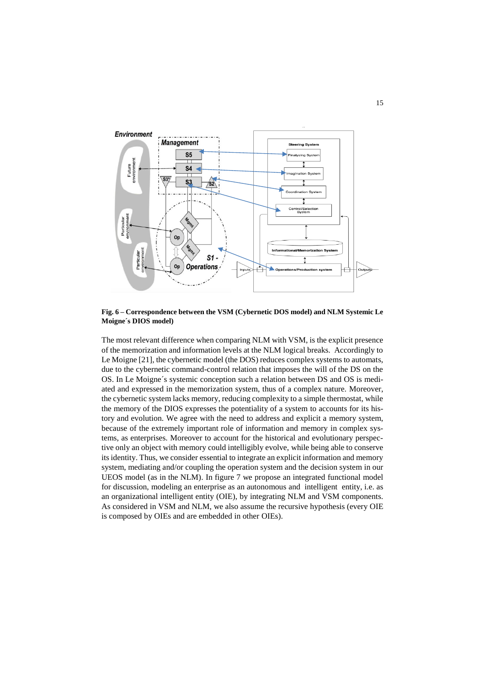

**Fig. 6 – Correspondence between the VSM (Cybernetic DOS model) and NLM Systemic Le Moigne´s DIOS model)** 

The most relevant difference when comparing NLM with VSM, is the explicit presence of the memorization and information levels at the NLM logical breaks. Accordingly to Le Moigne [21], the cybernetic model (the DOS) reduces complex systems to automats, due to the cybernetic command-control relation that imposes the will of the DS on the OS. In Le Moigne´s systemic conception such a relation between DS and OS is mediated and expressed in the memorization system, thus of a complex nature. Moreover, the cybernetic system lacks memory, reducing complexity to a simple thermostat, while the memory of the DIOS expresses the potentiality of a system to accounts for its history and evolution. We agree with the need to address and explicit a memory system, because of the extremely important role of information and memory in complex systems, as enterprises. Moreover to account for the historical and evolutionary perspective only an object with memory could intelligibly evolve, while being able to conserve its identity. Thus, we consider essential to integrate an explicit information and memory system, mediating and/or coupling the operation system and the decision system in our UEOS model (as in the NLM). In figure 7 we propose an integrated functional model for discussion, modeling an enterprise as an autonomous and intelligent entity, i.e. as an organizational intelligent entity (OIE), by integrating NLM and VSM components. As considered in VSM and NLM, we also assume the recursive hypothesis (every OIE is composed by OIEs and are embedded in other OIEs).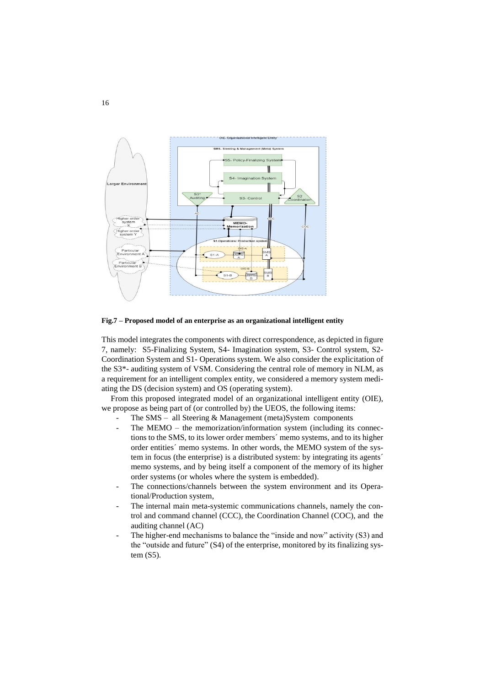

**Fig.7 – Proposed model of an enterprise as an organizational intelligent entity**

This model integrates the components with direct correspondence, as depicted in figure 7, namely: S5-Finalizing System, S4- Imagination system, S3- Control system, S2- Coordination System and S1- Operations system. We also consider the explicitation of the S3\*- auditing system of VSM. Considering the central role of memory in NLM, as a requirement for an intelligent complex entity, we considered a memory system mediating the DS (decision system) and OS (operating system).

From this proposed integrated model of an organizational intelligent entity (OIE), we propose as being part of (or controlled by) the UEOS, the following items:

- The  $SMS all Steering & Management (meta) System components$
- The MEMO the memorization/information system (including its connections to the SMS, to its lower order members´ memo systems, and to its higher order entities´ memo systems. In other words, the MEMO system of the system in focus (the enterprise) is a distributed system: by integrating its agents´ memo systems, and by being itself a component of the memory of its higher order systems (or wholes where the system is embedded).
- The connections/channels between the system environment and its Operational/Production system,
- The internal main meta-systemic communications channels, namely the control and command channel (CCC), the Coordination Channel (COC), and the auditing channel (AC)
- The higher-end mechanisms to balance the "inside and now" activity (S3) and the "outside and future" (S4) of the enterprise, monitored by its finalizing system (S5).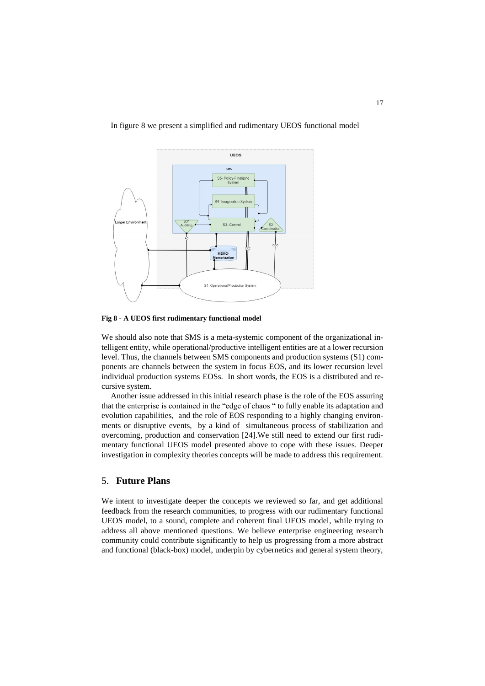In figure 8 we present a simplified and rudimentary UEOS functional model



**Fig 8 - A UEOS first rudimentary functional model**

We should also note that SMS is a meta-systemic component of the organizational intelligent entity, while operational/productive intelligent entities are at a lower recursion level. Thus, the channels between SMS components and production systems (S1) components are channels between the system in focus EOS, and its lower recursion level individual production systems EOSs. In short words, the EOS is a distributed and recursive system.

Another issue addressed in this initial research phase is the role of the EOS assuring that the enterprise is contained in the "edge of chaos " to fully enable its adaptation and evolution capabilities, and the role of EOS responding to a highly changing environments or disruptive events, by a kind of simultaneous process of stabilization and overcoming, production and conservation [24].We still need to extend our first rudimentary functional UEOS model presented above to cope with these issues. Deeper investigation in complexity theories concepts will be made to address this requirement.

# 5. **Future Plans**

We intent to investigate deeper the concepts we reviewed so far, and get additional feedback from the research communities, to progress with our rudimentary functional UEOS model, to a sound, complete and coherent final UEOS model, while trying to address all above mentioned questions. We believe enterprise engineering research community could contribute significantly to help us progressing from a more abstract and functional (black-box) model, underpin by cybernetics and general system theory,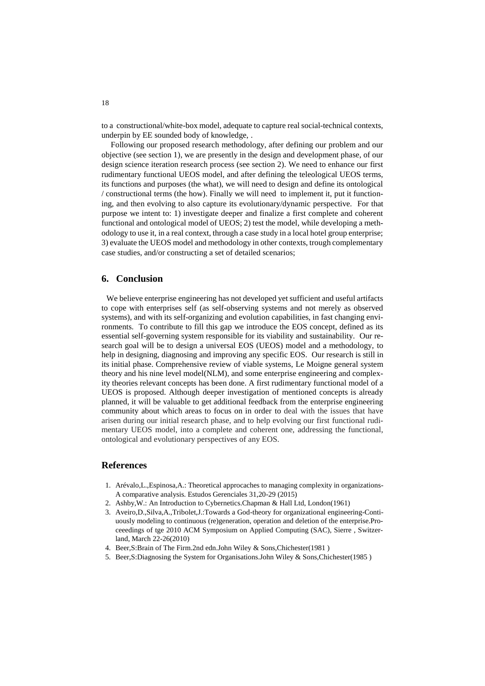to a constructional/white-box model, adequate to capture real social-technical contexts, underpin by EE sounded body of knowledge, .

Following our proposed research methodology, after defining our problem and our objective (see section 1), we are presently in the design and development phase, of our design science iteration research process (see section 2). We need to enhance our first rudimentary functional UEOS model, and after defining the teleological UEOS terms, its functions and purposes (the what), we will need to design and define its ontological / constructional terms (the how). Finally we will need to implement it, put it functioning, and then evolving to also capture its evolutionary/dynamic perspective. For that purpose we intent to: 1) investigate deeper and finalize a first complete and coherent functional and ontological model of UEOS; 2) test the model, while developing a methodology to use it, in a real context, through a case study in a local hotel group enterprise; 3) evaluate the UEOS model and methodology in other contexts, trough complementary case studies, and/or constructing a set of detailed scenarios;

## **6. Conclusion**

We believe enterprise engineering has not developed yet sufficient and useful artifacts to cope with enterprises self (as self-observing systems and not merely as observed systems), and with its self-organizing and evolution capabilities, in fast changing environments. To contribute to fill this gap we introduce the EOS concept, defined as its essential self-governing system responsible for its viability and sustainability. Our research goal will be to design a universal EOS (UEOS) model and a methodology, to help in designing, diagnosing and improving any specific EOS. Our research is still in its initial phase. Comprehensive review of viable systems, Le Moigne general system theory and his nine level model(NLM), and some enterprise engineering and complexity theories relevant concepts has been done. A first rudimentary functional model of a UEOS is proposed. Although deeper investigation of mentioned concepts is already planned, it will be valuable to get additional feedback from the enterprise engineering community about which areas to focus on in order to deal with the issues that have arisen during our initial research phase, and to help evolving our first functional rudimentary UEOS model, into a complete and coherent one, addressing the functional, ontological and evolutionary perspectives of any EOS.

# **References**

- 1. Arévalo,L.,Espinosa,A.: Theoretical approcaches to managing complexity in organizations-A comparative analysis. Estudos Gerenciales 31,20-29 (2015)
- 2. Ashby,W.: An Introduction to Cybernetics.Chapman & Hall Ltd, London(1961)
- 3. Aveiro,D.,Silva,A.,Tribolet,J.:Towards a God-theory for organizational engineering-Contiuously modeling to continuous (re)generation, operation and deletion of the enterprise.Proceeedings of tge 2010 ACM Symposium on Applied Computing (SAC), Sierre , Switzerland, March 22-26(2010)
- 4. Beer,S:Brain of The Firm.2nd edn.John Wiley & Sons,Chichester(1981 )
- 5. Beer,S:Diagnosing the System for Organisations.John Wiley & Sons,Chichester(1985 )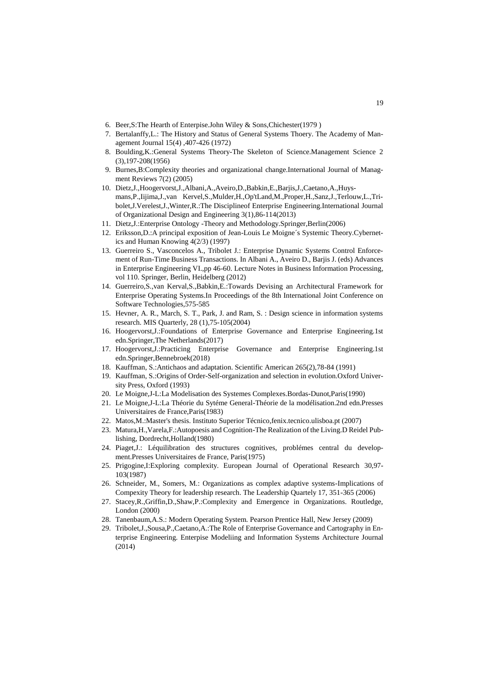- 6. Beer,S:The Hearth of Enterpise.John Wiley & Sons,Chichester(1979 )
- 7. Bertalanffy,L.: The History and Status of General Systems Thoery. The Academy of Management Journal 15(4) ,407-426 (1972)
- 8. Boulding,K.:General Systems Theory-The Skeleton of Science.Management Science 2 (3),197-208(1956)
- 9. Burnes,B:Complexity theories and organizational change.International Journal of Managment Reviews 7(2) (2005)
- 10. Dietz,J.,Hoogervorst,J.,Albani,A.,Aveiro,D.,Babkin,E.,Barjis,J.,Caetano,A.,Huysmans,P.,Iijima,J.,van Kervel,S.,Mulder,H.,Op'tLand,M.,Proper,H.,Sanz,J.,Terlouw,L.,Tribolet,J.Verelest,J.,Winter,R.:The Disciplineof Enterprise Engineering.International Journal of Organizational Design and Engineering 3(1),86-114(2013)
- 11. Dietz,J.:Enterprise Ontology -Theory and Methodology.Springer,Berlin(2006)
- 12. Eriksson,D.:A principal exposition of Jean-Louis Le Moigne´s Systemic Theory.Cybernetics and Human Knowing 4(2/3) (1997)
- 13. Guerreiro S., Vasconcelos A., Tribolet J.: Enterprise Dynamic Systems Control Enforcement of Run-Time Business Transactions. In Albani A., Aveiro D., Barjis J. (eds) Advances in Enterprise Engineering VI.,pp 46-60. Lecture Notes in Business Information Processing, vol 110. Springer, Berlin, Heidelberg (2012)
- 14. Guerreiro,S.,van Kerval,S.,Babkin,E.:Towards Devising an Architectural Framework for Enterprise Operating Systems.In Proceedings of the 8th International Joint Conference on Software Technologies,575-585
- 15. Hevner, A. R., March, S. T., Park, J. and Ram, S. : Design science in information systems research. MIS Quarterly, 28 (1),75-105(2004)
- 16. Hoogervorst,J.:Foundations of Enterprise Governance and Enterprise Engineering.1st edn.Springer,The Netherlands(2017)
- 17. Hoogervorst,J.:Practicing Enterprise Governance and Enterprise Engineering.1st edn.Springer,Bennebroek(2018)
- 18. Kauffman, S.:Antichaos and adaptation. Scientific American 265(2),78-84 (1991)
- 19. Kauffman, S.:Origins of Order-Self-organization and selection in evolution.Oxford University Press, Oxford (1993)
- 20. Le Moigne,J-L:La Modelisation des Systemes Complexes.Bordas-Dunot,Paris(1990)
- 21. Le Moigne,J-L:La Théorie du Sytéme General-Théorie de la modélisation.2nd edn.Presses Universitaires de France,Paris(1983)
- 22. Matos,M.:Master's thesis. Instituto Superior Técnico,fenix.tecnico.ulisboa.pt (2007)
- 23. Matura,H.,Varela,F.:Autopoesis and Cognition-The Realization of the Living.D Reidel Publishing, Dordrecht,Holland(1980)
- 24. Piaget,J.: Léquilibration des structures cognitives, problémes central du development.Presses Universitaires de France, Paris(1975)
- 25. Prigogine,I:Exploring complexity. European Journal of Operational Research 30,97- 103(1987)
- 26. Schneider, M., Somers, M.: Organizations as complex adaptive systems-Implications of Compexity Theory for leadership research. The Leadership Quartely 17, 351-365 (2006)
- 27. Stacey,R.,Griffin,D.,Shaw,P.:Complexity and Emergence in Organizations. Routledge, London (2000)
- 28. Tanenbaum,A.S.: Modern Operating System. Pearson Prentice Hall, New Jersey (2009)
- 29. Tribolet,J.,Sousa,P.,Caetano,A.:The Role of Enterprise Governance and Cartography in Enterprise Engineering. Enterpise Modeliing and Information Systems Architecture Journal (2014)